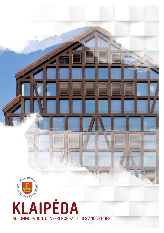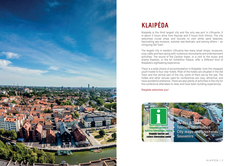

# **Klaipėda**

Klaipėda is the third largest city and the only sea port in Lithuania. It is about 2 hours drive from Kaunas and 3 hours from Vilnius. The city welcomes cruise ships and tourists to visit white sand beaches, fascinating sea museum, summer sea festivals, and among others – an intriguing Old Town

The largest city in western Lithuania has many small shops, museums, cosy cafés and bars along with numerous monuments and entertainment activities. The sound of the Carillon tower, or a visit to the music and drama theatres, or the Art Exhibition Palace, offer a different kind of Klaipėda's sightseeing experience.

There is a wide choice of accommodation in Klaipėda: from the cheapest youth hostel to four-star hotels. Most of the hotels are situated in the Old Town and the central part of the city, some of them are by the sea. The hotels and other venues used for conferences are cosy, attractive, and have wonderful ambience. There are also plenty of activities in the city for the conference attendees to relax and have team-building experiences.

Klaipėda welcomes you!

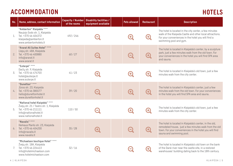## **AccomModation Hotels**

| No.              | Name, address, contact information                                                                                                                | <b>Capacity / Number</b><br>of the rooms | <b>Disability facilities /</b><br>equipment available | <b>Pets allowed</b>   | <b>Restaurant</b>     | <b>Description</b>                                                                                                                                                                                    |
|------------------|---------------------------------------------------------------------------------------------------------------------------------------------------|------------------------------------------|-------------------------------------------------------|-----------------------|-----------------------|-------------------------------------------------------------------------------------------------------------------------------------------------------------------------------------------------------|
| 1.               | "Amberton" Klaipėda ****<br>Naujojo Sodo str. 1, Klaipėda<br>Tel. +370 46 404372<br>klaipeda@amberton.lt<br>www.ambertonhotels.lt                 | 492/246                                  |                                                       | O                     | $\mathbf{\Theta}$     | The hotel is located in the city center, a few minutes<br>walk of the Klaipeda Castle and other local attractions.<br>For your conveniences in the hotel you will find a<br>swimming pool and gym.    |
| 2.               | "Ararat All Suites Hotel" ****<br>Liepų str. 48A, Klaipėda<br>Tel. +370 46 400880<br>info@ararat.lt<br>www.ararat.lt                              | 60/27                                    |                                                       | $\boldsymbol{\Theta}$ | $\boldsymbol{\Theta}$ | The hotel is located in Klaipėda's center, by a sculpture<br>park, just a few minutes walk from the old town. For<br>your conveniences in the hotel you will find SPA area<br>and sauna.              |
| $\overline{3}$ . | "Euterpė" ****<br>Daržų str. 9, Klaipėda<br>Tel. +370 46 474703<br>hotel@euterpe.lt<br>www.euterpe.lt                                             | 41/23                                    | 0                                                     | O                     | $\mathbf O$           | The hotel is located in Klaipėda's old town, just a few<br>minutes walk from the city center.                                                                                                         |
| 4.               | "Dunetton" ****<br>Jūros str. 23, Klaipėda<br>Tel. +370 46 385577<br>hello@dunettonhotel.lt<br>www.dunettonhotel.lt                               | 39/20                                    |                                                       | $\mathbf O$           | $\boldsymbol{\Theta}$ | The hotel is located in Klaipėda's center, just a few<br>minutes walk from the old town. For your conveniences<br>in the hotel you will find SPA area and sauna.                                      |
| 5.               | "National hotel Klaipėda" ****<br>Žvejų str. 21 / Teatro str. 1, Klaipėda<br>Tel. +370 46 211111<br>info@nationalhotel.lt<br>www.nationalhotel.lt | 110/50                                   |                                                       | $\blacklozenge$       | $\mathbf{O}$          | The hotel is located in Klaipėda's old town, just a few<br>minutes walk from the city center.                                                                                                         |
| 6.               | "Navalis" ****<br>Herkaus Manto str. 23, Klaipėda<br>Tel. +370 46 404200<br>info@navalis.lt<br>www.navalis.lt                                     | 35/28                                    | 0                                                     | 9                     | $\boldsymbol{\Theta}$ | The hotel is located in Klaipėda's center, in the old,<br>remodeled house, just a few minutes walk from the old<br>town. For your conveniences in the hotel you will find<br>sauna and swimming pool. |
| 7.               | "Michaelson boutique Hotel" ****<br>Žvejų str. 18A, Klaipėda<br>Tel. +370 46 224413<br>info@hotelmichaelson.com<br>www.hotelmichaelson.com        | 32/16                                    |                                                       |                       | Ð                     | The hotel is located in Klaipėda's old town on the bank<br>of the Dane river near the castle site, in a restored<br>warehouses' building dating back to the 18th century.                             |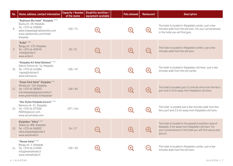| No. | Name, address, contact information                                                                                                                                | <b>Capacity / Number</b><br>of the rooms | <b>Disability facilities /</b><br>equipment available | <b>Pets allowed</b> | <b>Restaurant</b> | <b>Description</b>                                                                                                                                                               |
|-----|-------------------------------------------------------------------------------------------------------------------------------------------------------------------|------------------------------------------|-------------------------------------------------------|---------------------|-------------------|----------------------------------------------------------------------------------------------------------------------------------------------------------------------------------|
| 8.  | "Radisson Blu hotel" Klaipėda ****<br>Šaulių str. 28, Klaipėda<br>Tel. +370 46 490800<br>sales.klaipeda@radissonblu.com<br>www.radissonblu.com/hotel-<br>klaipeda | 150/74                                   | $\mathbf{F}$                                          | ¢                   | $\bigodot$        | The hotel is located in Klaipėda's center, just a few<br>minutes walk from the old town. For your conveniences<br>in the hotel you will find gym.                                |
| 9.  | "Aribė" ***<br>Bangų str. 17A, Klaipėda<br>Tel. +370 46 490940<br>hotel@aribe.lt<br>www.aribe.lt                                                                  | 30/21                                    |                                                       | $\mathbf G$         | 0                 | The hotel is located in Klaipėda's center, just a few<br>minutes walk from the old town.                                                                                         |
| 10. | "Klaipėda Art Hotel Bohema" ***<br>Galinio Pylimo str. 16, Klaipėda<br>Tel. +370 46 411884<br>lugne@tubinas.lt<br>www.tubinas.eu                                  | 100/49                                   | 9                                                     | $\bullet$           | $\mathbf{G}$      | The hotel is located in Klaipėda's old town, just a few<br>minutes walk from the city center.                                                                                    |
| 11. | "Green Park Hotel" Klaipėda ***<br>Minijos str. 119, Klaipėda<br>Tel. +370 46 380803<br>info.klaipeda@greenhotels.lt<br>www.greenhotels.lt/klaipeda/              | 168/84                                   |                                                       | $\bigodot$          | $\bigodot$        | The hotel is located just a 2-minute drive from the ferry<br>port and is 3 km away from Klaipėda's old town.                                                                     |
| 12. | "Ibis Styles Klaipėda Aurora" ***<br>Nemuno str. 51, Klaipėda<br>Tel. +370 46 297000<br>HA0X6@accor.com<br>www.accorhotels.com                                    | 297/144                                  | 0                                                     | $\bullet$           | $\mathbf O$       | The hotel is located just a few minutes walk from the<br>ferry port and 2,5 km away from Klaipėda's old town.                                                                    |
| 13. | Klaipėdos "Vėtra" ***<br>Taikos av. 80A, Klaipėda<br>Tel. +370 46 348002<br>vetra.klaipeda@hotel.lt<br>www.vetrahotel.lt                                          | 34/17                                    |                                                       |                     |                   | The hotel is located in the peaceful southern area of<br>Klaipėda, 5 km away from Klaipėda's old town. For<br>your conveniences in the hotel you will find sauna and<br>jacuzzi. |
|     | "Memel Hotel" ***<br>Bangų str. 4, Klaipėda<br>14. Tel. +370 46 474900<br>info@memelhotel.lt<br>www.memelhotel.lt                                                 | 100/50                                   |                                                       |                     | $\sim$ $\sim$     | The hotel is located in Klaipėda's center, just a few<br>minutes walk from the old town.                                                                                         |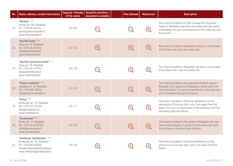| No. | Name, address, contact information                                                                                                               | <b>Capacity / Number</b><br>of the rooms | <b>Disability facilities /</b><br>equipment available | <b>Pets allowed</b> | <b>Restaurant</b>     | <b>Description</b>                                                                                                                                                                                           |
|-----|--------------------------------------------------------------------------------------------------------------------------------------------------|------------------------------------------|-------------------------------------------------------|---------------------|-----------------------|--------------------------------------------------------------------------------------------------------------------------------------------------------------------------------------------------------------|
| 15. | "Morena" ***<br>Audros str. 8A, Klaipėda,<br>Tel. +370 46 351314<br>admin@morenahotel.lt<br>www.morenahotel.lt                                   | 50/26                                    |                                                       |                     | $\mathbf{\Theta}$     | The hotel is located only 200 m away from the sand<br>beach of the Baltic sea and 4 km away from the center<br>of Klaipėda. For your conveniences in the hotel you will<br>find sauna.                       |
| 16. | "Old Mill Hotel" ***<br>Žvejų str. 22, Klaipėda<br>Tel. +370 46 219215<br>info@oldmillhotel.lt<br>www.oldmillhotel.lt                            | 62/31                                    | 0                                                     | $\mathbf O$         | $\boldsymbol{\Theta}$ | The hotel is located in Klaipėda's old town, on the bank<br>of the Dane river near the castle site.                                                                                                          |
| 17. | "Old Mill Conference Hotel" ***<br>Žvejų str. 20, Klaipėda<br>Tel. +370 46 474764<br>info@oldmillhotel.lt<br>www.oldmillhotel.lt                 | 30/15                                    | 9                                                     | O                   | $\mathbf{\Theta}$     | The hotel is located in Klaipėda's old town, on the bank<br>of the Dane river near the castle site.                                                                                                          |
| 18. | "Pajūrio vieškelis" ***<br>Liepojos str. 7A, Klaipėda<br>Tel. +370 680 78036<br>info@pajuriovieskelis.lt                                         | 41/16                                    | $\boldsymbol{\Theta}$                                 | $\bullet$           | $\boldsymbol{\Theta}$ | The hotel is located in the peaceful northern area of<br>Klaipėda, 2 km away from Klaipėda's center and 3 km<br>from the beach. For your conveniences in the hotel you<br>will find swimming pool and sauna. |
| 19. | "Palva" ***<br>Smiltynės str. 19, Klaipėda<br>Tel. +370 612 75134<br>info@hotelpalva.lt<br>www.hotelpalva.lt                                     | 40/17                                    | $\mathbf{O}$                                          | $\mathbf G$         | $\boldsymbol{\Theta}$ | The hotel is located in Smiltyne settlement on the<br>peninsula of Curonian Spit, only 2 km away from the<br>beach. For your conveniences in the hotel you will find<br>swimming pool and sauna.             |
| 20. | "Promenada" ***<br>Šaulių str. 41, Klaipėda<br>Tel. +370 46 40 30 20,<br>hotel@promenada.lt<br>www.promenada.lt                                  | 40/22                                    | ۸                                                     | $\bigodot$          | $\boldsymbol{\Theta}$ | The hotel is located in the center of Klaipėda city near<br>Lietuvininkų Square. It is only few minutes walk from<br>the old town or bus and train stations.                                                 |
| 21. | "Smiltynės Jachtklubas" ***<br>Smiltynės str. 25, Klaipėda<br>Tel. +370 663 55550<br>info@smiltynesjachtklubas.lt<br>www.smiltynesjachtklubas.lt | 70/40                                    |                                                       |                     |                       | The hotel is located in Smiltyne settlement on the<br>peninsula of Curonian Spit, only 2 km away from the<br>beach.                                                                                          |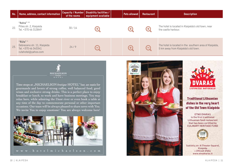| No. | Name, address, contact information                                                   | of the rooms | Capacity / Number   Disability facilities /<br>equipment available | <b>Pets allowed</b> | <b>Restaurant</b> | <b>Description</b>                                                                            |
|-----|--------------------------------------------------------------------------------------|--------------|--------------------------------------------------------------------|---------------------|-------------------|-----------------------------------------------------------------------------------------------|
| 22. | "Astra" **<br>Pilies str. 2, Klaipėda<br>Tel. +370 46 313849                         | 30/14        | $\bullet$                                                          |                     | (+                | The hotel is located in Klaipėda's old town, near<br>the castle harbour.                      |
| 23. | "Rūta"*<br>Debreceno str. 11, Klaipėda<br>Tel. +370 46 343341<br>rutahotel@yahoo.com | 24/9         | $\overline{\phantom{a}}$                                           | 0                   | $\blacksquare$    | The hotel is located in the southern area of Klaipėda,<br>5 km away from Klaipėda's old town. |



Time stops at "MICHAELSON boutique HOTEL" bar, an oasis for gourmands and lovers of strong coffee, well balanced food, good wines and exclusive strong drinks. This is a perfect place to enjoy breakfast or lunch, to work and have business meetings. You may relax here, while admiring the Dane river or even book a table at any time of the day to commemorate personal or other important occasions. Our team will be always pleased to share news with You. We invite You to enjoy emotions! You are always welcome here!







Traditional Lithuanian dishes in the very heart of the Old Town Klaipėda

ETNO DVARAS is the first traditional Lithuanian food restaurant that has been certified by CULINARY HERITAGE FUND



Sukilėlių str. 8 (Theater Square), Klaipėda + 370 640 37654 www.etnodvaras.lt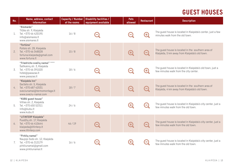# **GUEST HOUSES**

| No. | Name, address, contact<br>information                                                                                      | <b>Capacity / Number</b><br>of the rooms | <b>Disability facilities /</b><br>equipment available | <b>Pets</b><br>allowed   | <b>Restaurant</b>        | <b>Description</b>                                                                                  |
|-----|----------------------------------------------------------------------------------------------------------------------------|------------------------------------------|-------------------------------------------------------|--------------------------|--------------------------|-----------------------------------------------------------------------------------------------------|
| 1.  | "Aismares"<br>Tilžės str. 9, Klaipėda<br>Tel. +370 46 420195<br>info@aismares.lt<br>www.aismares.lt                        | 16/8                                     |                                                       | $\overline{\phantom{0}}$ | $\mathbf{\Theta}$        | The guest house is located in Klaipėda's center, just a few<br>minutes walk from the old town.      |
| 2.  | "Fortūna"<br>Poilsio str. 28, Klaipėda<br>Tel. +370 46 348028<br>fortuna.klaipeda@gmail.com<br>www.fortuna.lt              | 15/8                                     |                                                       | $\boldsymbol{\Theta}$    | $\boldsymbol{\Theta}$    | The guest house is located in the southern area of<br>Klaipėda, 5 km away from Klaipėda's old town. |
| 3.  | "Friedricho svečių namai" ****<br>Šaltkalvių str. 3, Klaipėda<br>Tel. +370 46 391020<br>hotel@pasazas.lt<br>www.pasazas.lt | 18/6                                     | ۸                                                     | $\blacksquare$           | $\mathbf{\Theta}$        | The guest house is located in Klaipėda's old town, just a<br>few minutes walk from the city center. |
| 4.  | "Klaipėda Inn"<br>Darželio str. 5, Klaipėda<br>Tel. +370 687 42031<br>sveciunamai@termomontage.lt<br>www.sveciu-namai.com  | 18/7                                     |                                                       | $\boldsymbol{\Theta}$    | $\boldsymbol{\Theta}$    | The guest house is located in the southern area of<br>Klaipėda, 4 km away from Klaipėda's old town. |
| 5.  | "KUBU guest house"<br>Vilties str. 2, Klaipėda<br>Tel. +370 650 52311<br>info@kubu.lt<br>www.kubu.lt                       | 24/6                                     | 0                                                     | O                        | $\boldsymbol{\Theta}$    | The guest house is located in Klaipėda's city center, just a<br>few minutes walk from the old town. |
| 6.  | "LITINTERP Klaipėda"<br>Puodžių str. 17, Klaipėda<br>Tel. +370 46 410644<br>klaipeda@litinterp.lt<br>www.litinterp.com     | 46/19                                    |                                                       | $\boldsymbol{\Theta}$    | $\boldsymbol{\Theta}$    | The guest house is located in Klaipėda's city center, just a<br>few minutes walk from the old town. |
| 7.  | "Pirkliy namai"<br>Naujojo Sodo str. 12, Klaipėda<br>Tel. +370 46 313179<br>pirkliunamai@gmail.com<br>www.pirkliunamai.lt  | 16/6                                     |                                                       |                          | $\overline{\phantom{0}}$ | The guest house is located in Klaipėda's city center, just a<br>few minutes walk from the old town. |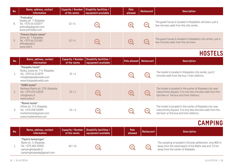| No. | Name, address, contact<br>information                                                                        | <b>Capacity / Number</b><br>of the rooms | Disability facilities /<br>equipment available | <b>Pets</b><br>allowed   | Restaurant               | <b>Description</b>                                                                                  |
|-----|--------------------------------------------------------------------------------------------------------------|------------------------------------------|------------------------------------------------|--------------------------|--------------------------|-----------------------------------------------------------------------------------------------------|
| 8.  | "Preliudija"<br>Kepėjų str. 7, Klaipėda<br>Tel. +370 46 310077<br>preliudija@gmail.com<br>www.preliudija.com | 12/6                                     | $\overline{\phantom{a}}$                       | $\bullet$                | $\sim$                   | The guest house is located in Klaipėda's old town, just a<br>few minutes walk from the city center. |
| 9.  | "Simono Dacho namai"<br>Jūros str. 7, Klaipėda<br>Tel. +370 46 311481<br>office@vdd.lt<br>www.vdd.lt         | 12/4                                     | $\overline{\phantom{a}}$                       | $\left( \bullet \right)$ | $\overline{\phantom{a}}$ | The guest house is located in Klaipėda's city center, just a<br>few minutes walk from the old town. |

### **HOSTELS**

| No. | Name, address, contact<br>information                                                                                           | <b>Capacity / Number</b><br>of the rooms | <b>Disability facilities /</b><br>equipment available | Pets allowed   Restaurant |                | <b>Description</b>                                                                                                                                                |
|-----|---------------------------------------------------------------------------------------------------------------------------------|------------------------------------------|-------------------------------------------------------|---------------------------|----------------|-------------------------------------------------------------------------------------------------------------------------------------------------------------------|
| 1.  | "Klaipėda hostel"<br>Butkų Juzės str. 7-4, Klaipėda<br>Tel. +370 46 211879<br>info@klaipedahostel.com<br>www.klaipedahostel.com | 31/6                                     | $\blacksquare$                                        | $\blacksquare$            | $\blacksquare$ | The hostel is located in Klaipėda's city center, just 2<br>minutes walk from the bus / train stations.                                                            |
| 2.  | "KUBU hostel"<br>Herkaus Manto str. 37A, Klaipėda<br>Tel. +370 676 42018<br>info@kubu.lt<br>www.kubu.lt                         | 24/4                                     | $\left($ $\right)$                                    | 0                         | 0              | The hostel is located in the center of Klaipeda city near<br>Lietuvininky Square. It is only few minutes walk from the<br>old town or the bus and train stations. |
| 3.  | "Memel hostel"<br>Vilties str. 3-2, Klaipėda<br>Tel. +370 698 25989<br>hostelmemel@gmail.com<br>www.hostelmemel.com             | 26/4                                     | e                                                     | $\blacksquare$            | 0              | The hostel is located in the center of Klaipėda city near<br>Lietuvininkų Square. It is only few minutes walk from the<br>old town or the bus and train stations. |

# **CAMPING**

| No. | Name, address, contact<br>information                                                                                    | of the rooms | <b>Capacity / Number Disability facilities /</b><br>$\vert$ equipment available $\vert$ | <b>Pets</b><br>allowed | Restaurant | <b>Description</b>                                                                                                                                      |
|-----|--------------------------------------------------------------------------------------------------------------------------|--------------|-----------------------------------------------------------------------------------------|------------------------|------------|---------------------------------------------------------------------------------------------------------------------------------------------------------|
|     | "Pajūrio kempingas"<br>Šlaito str. 3, Klaipėda<br>Tel. +370 683 25055<br>campingklaipeda.lt<br>campingklaipeda@gmail.com | 48/12        | Œ                                                                                       |                        | 6          | The camping is located in Giruliai settlement, only 800 m<br>away from the sand beach of the Baltic sea and 7,5 km<br>away from the center of Klaipėda. |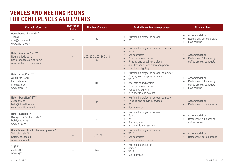#### **Venues and meeting rooms for conferences and events**

| <b>Contact information</b>                                                                           | <b>Number of</b><br>halls | <b>Number of places</b>      | Available conference equipment                                                                                                                                                                                          | Other services                                                                                      |
|------------------------------------------------------------------------------------------------------|---------------------------|------------------------------|-------------------------------------------------------------------------------------------------------------------------------------------------------------------------------------------------------------------------|-----------------------------------------------------------------------------------------------------|
| <b>Guest house "Aismares"</b><br>Tilžės str. 9<br>info@aismares.lt<br>www.aismares.lt                | 1                         | 80                           | Multimedia projector, screen<br>Wi-Fi                                                                                                                                                                                   | Accommodation<br>٠<br>Restaurant: coffee breaks<br>Free parking                                     |
| Hotel "Amberton" 4****<br>Naujojo Sodo str. 1<br>konferencijos@amberton.lt<br>www.ambertonhotels.com | 5                         | 100, 100, 100, 100 and<br>80 | Multimedia projector, screen, computer<br>Wi-Fi<br>$\bullet$<br>Sound system<br>$\bullet$<br>Board, markers, paper<br>Printing and copying services<br>Simultaneous translation equipment<br><b>Functional lighting</b> | Accommodation<br>Restaurant: full catering,<br>coffee breaks, banquets                              |
| Hotel "Ararat" 4****<br><b>All Suites Hotel</b><br>Liepų str. 48A<br>info@ararat.lt<br>www.ararat.lt | $\mathbf 1$               | 100                          | Multimedia projector, screen, computer<br>Printing and copying services<br>Wi-Fi<br>Acoustic sound system<br>Board, markers, paper<br>Functional lighting<br>Air conditioning system                                    | Accommodation<br>Restaurant: full catering,<br>coffee breaks, banquets<br>Free parking<br>$\bullet$ |
| Hotel "Dunetton" 4****<br>Jūros str. 23<br>hello@dunettonhotel.lt<br>www.dunettonhotel.lt            | 1                         | 30                           | Multimedia projector, screen, computer<br>Printing and copying services<br>Wi-Fi<br>Sound system                                                                                                                        | Accommodation<br>Restaurant, coffee breaks                                                          |
| Hotel "Euterpė" 4****<br>Daržų str. 9 / Aukštoji str. 15<br>hotel@euterpe.lt<br>www.euterpe.lt       | $\mathbf 1$               | 50                           | Multimedia projector, screen<br>Board<br>Wi-Fi<br>Sound system<br>Air conditioning system                                                                                                                               | Accommodation<br>Restaurant: full catering,<br>coffee breaks                                        |
| Guest house "Friedricho svečių namai"<br>Šaltkalvių str. 3<br>hotel@pasazas.lt<br>www.pasazas.lt     | $\overline{3}$            | 15, 25, 60                   | Multimedia projector, screen<br>Wi-Fi<br>Sound system<br>Board, markers, paper<br>$\bullet$                                                                                                                             | Accommodation<br>Restaurant: coffee breaks                                                          |
| "IQ0S"<br>Žvejų str. 4<br>www.iqos.lt                                                                | 1                         | 130                          | Multimedia projector<br>Screen<br>Wi-Fi<br>Sound system<br>$\bullet$                                                                                                                                                    |                                                                                                     |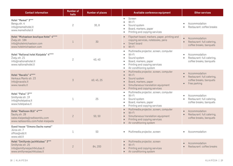| <b>Contact information</b>                                                                                             | <b>Number of</b><br>halls | <b>Number of places</b> | Available conference equipment                                                                                                                                                                                                     | Other services                                                                                                   |
|------------------------------------------------------------------------------------------------------------------------|---------------------------|-------------------------|------------------------------------------------------------------------------------------------------------------------------------------------------------------------------------------------------------------------------------|------------------------------------------------------------------------------------------------------------------|
| Hotel "Memel" 3***<br>Bangų str. 4<br>info@memelhotel.lt<br>www.memelhotel.lt                                          | $\overline{c}$            | 30,8                    | Screen<br>$\bullet$<br>$Wi-Fi$<br>$\bullet$<br>Sound system<br>Board, markers, paper<br>$\bullet$<br>Printing and copying services<br>$\bullet$                                                                                    | Accommodation<br>Restaurant: coffee breaks                                                                       |
| Hotel "Michaelson boutique Hotel" 4****<br>Žvejų str. 18A<br>info@hotelmichaelson.com<br>www.hotelmichaelson.com       | $\mathbf{1}$              | 30                      | Flipchart board, markers, paper, printing and<br>$\bullet$<br>copying services, notebooks, pens<br>Smart board<br>Wi-Fi<br>$\bullet$                                                                                               | Accommodation<br>Restaurant: full catering,<br>coffee breaks, banquets                                           |
| Hotel "National hotel Klaipėda" 4****<br>Žvejų str. 21<br>info@nationalhotel.lt<br>www.nationalhotel.lt                | $\overline{c}$            | 40, 40                  | Multimedia projector, screen, computer<br>$\bullet$<br>Wi-Fi<br>$\bullet$<br>Sound system<br>$\bullet$<br>Board, markers, paper<br>$\bullet$<br>Printing and copying services<br>$\bullet$<br>Air conditioning system<br>$\bullet$ | Accommodation<br>$\bullet$<br>Restaurant: full catering,<br>coffee breaks, banquets                              |
| Hotel "Navalis" 4****<br>Herkaus Manto str. 23<br>info@navalis.lt<br>www.navalis.lt                                    | $\overline{3}$            | 60, 45, 25              | Multimedia projector, screen, computer<br>$\bullet$<br>$Wi-Fi$<br>$\bullet$<br>Sound system<br>$\bullet$<br>Board, markers, paper<br>$\bullet$<br>Simultaneous translation equipment<br>$\bullet$<br>Printing and copying services | Accommodation<br>$\bullet$<br>Restaurant: full catering,<br>coffee breaks, banquets<br>Free parking<br>$\bullet$ |
| Hotel "Palva" 3***<br>Smiltynės str. 19<br>info@hotelpalva.lt<br>www.hotelpalva.lt                                     | $\mathbf 1$               | 25                      | Multimedia projector, screen, computer<br>$\bullet$<br>Wi-Fi<br>$\bullet$<br>Sound system<br>$\bullet$<br>Board, markers, paper<br>$\bullet$<br>Printing and copying services<br>$\bullet$                                         | Accommodation<br>$\bullet$<br>Restaurant: full catering,<br>$\bullet$<br>coffee breaks, banquets                 |
| Hotel "Radisson BLU" 4****<br>Šaulių str. 28<br>sales.klaipeda@radissonblu.com<br>www.radissonblu.com/hotel-klaipeda   | $\overline{c}$            | 50,50                   | Multimedia projector, screen, computer<br>$\bullet$<br>$Wi-Fi$<br>$\bullet$<br>Simultaneous translation equipment<br>$\bullet$<br>Printing and copying services<br>Air conditioning system<br>$\bullet$                            | Accommodation<br>$\bullet$<br>Restaurant: full catering,<br>coffee breaks, banquets                              |
| Guest house "Simono Dacho namai"<br>Jūros str. 7<br>office@vdd.lt<br>www.vdd.lt                                        | $\mathbf 1$               | 50                      | Multimedia projector, screen<br>$\bullet$                                                                                                                                                                                          | Accommodation                                                                                                    |
| Hotel "Smiltynės jachtklubas" 3***<br>Smiltynės str. 25<br>info@smiltynesjachtklubas.lt<br>www.smiltynesjachtklubas.lt | $\overline{c}$            | 84, 200                 | Multimedia projector, screen<br>Wi-Fi<br>$\bullet$<br>Printing and copying services<br>Air conditioning system<br>$\bullet$                                                                                                        | Accommodation<br>Restaurant: coffee breaks                                                                       |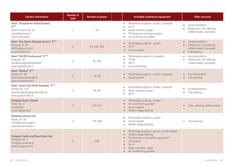| <b>Contact information</b>                                                                                         | <b>Number of</b><br>halls | <b>Number of places</b> | Available conference equipment                                                                                                                                                                          | Other services                                                                                      |
|--------------------------------------------------------------------------------------------------------------------|---------------------------|-------------------------|---------------------------------------------------------------------------------------------------------------------------------------------------------------------------------------------------------|-----------------------------------------------------------------------------------------------------|
| Hotel "Klaipėda Art Hotel Bohema"<br>$3***$<br>Galinio Pylimo str. 16<br>lugne@tubinas.lt<br>www.tubinas.eu        | 1                         | 40                      | Multimedia projector, screen, computer<br>$\bullet$<br>Wi-Fi<br>$\bullet$<br>Board, markers, paper<br>Printing and copying services<br>Air conditioning system                                          | Accommodation<br>$\bullet$<br>Restaurant: full catering,<br>$\bullet$<br>coffee breaks, banquets    |
| Hotel "Ibis Styles Klaipeda Aurora" 3***<br>Nemuno str. 51<br>HA0X6@accor.com<br>accorhotels.com                   | 3                         | 20, 100, 300            | Multimedia projector, screen<br>Wi-Fi<br>Sound system                                                                                                                                                   | Accommodation<br>Restaurant: full catering,<br>$\bullet$<br>coffee breaks, banquets<br>Free parking |
| Hotel "Old Mill Conference" 3***<br>Žvejų str. 20<br>conference@oldmillhotel.lt<br>www.oldmillhotel.lt             | $\sqrt{2}$                | 50,100                  | Multimedia projector, computer<br>TV set<br>Wi-Fi<br>Air conditioning                                                                                                                                   | Accommodation<br>Restaurant: full catering,<br>coffee breaks, banquets                              |
| Hotel "Morena" 3***<br>Audros str. 8A<br>admin@morenahotel.lt<br>www.morenahotel.lt                                | $\overline{c}$            | 16,90                   | Multimedia projector, screen, computer<br>Sound system                                                                                                                                                  | Accommodation<br>Full catering                                                                      |
| Hotel "Green Park Hotel Klaipėda" 3***<br>Minijos str. 119<br>events.klaipeda@greenhotels.lt<br>www.greenhotels.lt | $\overline{c}$            | 60,80                   | Multimedia projector, screen, computer<br>Board, markers, paper<br>$\bullet$<br>Wi-Fi<br>$\bullet$                                                                                                      | Accommodation<br>Free parking<br>$\bullet$                                                          |
| Klaipėda drama theatre<br>Teatro str. 2<br>info@kld.lt<br>www.kldteatras.lt                                        | $\overline{c}$            | 149, 417                | Multimedia projector, screen<br>Air conditioning system<br>Sound system<br>Modern stage lighting                                                                                                        | Cafe: catering, coffee breaks<br>$\bullet$                                                          |
| Klaipeda concert hall<br>Šaulių str. 36<br>info@koncertusale.lt<br>www.koncertusale.lt                             | $\overline{c}$            | 175,600                 | Multimedia projector, screen<br>Sound system<br>Modern stage lighting<br>$\bullet$                                                                                                                      | Free parking<br>$\bullet$                                                                           |
| Klaipeda Castle multifunctional hall<br>Priešpilio str. 2<br>info@jurossvente.lt<br>www.jurossvente.lt             | $\mathbf{1}$              | 400                     | Multimedia projector, screen, sound system<br>$\bullet$<br>Modern stage lighting<br>Simultaneous translation equipment<br><b>HD Camera</b><br>Wi-Fi<br>Board, markers, paper<br>Air conditioning system |                                                                                                     |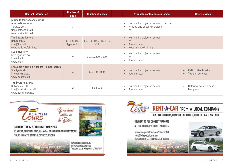| <b>Contact information</b>                                                                                         | <b>Number of</b><br>halls   | <b>Number of places</b>        | Available conference equipment                                                                                        | Other services                           |
|--------------------------------------------------------------------------------------------------------------------|-----------------------------|--------------------------------|-----------------------------------------------------------------------------------------------------------------------|------------------------------------------|
| Klaipėda tourism and culture<br>information center<br>Turgaus str. 7<br>tic@klaipedainfo.lt<br>www.klaipedainfo.lt |                             | 20                             | Multimedia projector, screen, computer<br>Printing and copying services<br>Wi-Fi<br>$\bullet$                         |                                          |
| The Culture factory<br>Bangų str. 5A<br>info@kepa.lt<br>www.kulturosfabrikas.lt                                    | $5 + Lounge-$<br>type lobby | 50, 100, 100, 115, 170,<br>211 | Multimedia projector, screen<br>$\bullet$<br>Wi-Fi<br>$\bullet$<br>Sound system<br>$\bullet$<br>Modern stage lighting |                                          |
| <b>LCC</b> university<br>Kretingos str. 36<br>info@lcc.lt<br>www.lcc.lt                                            | 9                           | 30, 60, 220, 1500              | Multimedia projector, screen<br>Wi-Fi<br>Sound system<br>$\bullet$                                                    |                                          |
| Lithuania Maritime Museum - Dolphinarium<br>Smiltynės str. 3<br>info@muziejus.lt<br>www.muziejus.lt                | $\overline{3}$              | 50, 100, 1000                  | Multimedia projector, screen<br>Sound system                                                                          | Café: coffee breaks<br>Transfer services |
| The Švyturio arena<br>Dubysos str. 10<br>info@svyturioarena.lt<br>www.svyturioarena.lt                             | 2                           | 30,5000                        | Multimedia projector, screen<br>Sound system<br>$\bullet$                                                             | Catering, coffee breaks,<br>banquets     |



TOURS IN BALTIC STATES & CITY EXCURSIONS



www.klaipedatours.eu info@klaipedatours.eu<br>Turgaus str.2, Klaipeda, LITHUANIA



**RENT-A-CAR FROM A LOCAL COMPANY** 

#### CENTRAL LOCATION, COMPETETIVE PRICES, HIGHEST QUALITY SERVICE

DELIVERY TO ALL CLOSEST AIRPORTS NO HIDDEN COSTS/CREDIT CARD FEES!

www.klaipedatours.eu/car-rental rent@klaipedatours.eu Turgaus str. 2, Klaipeda, Lithuania